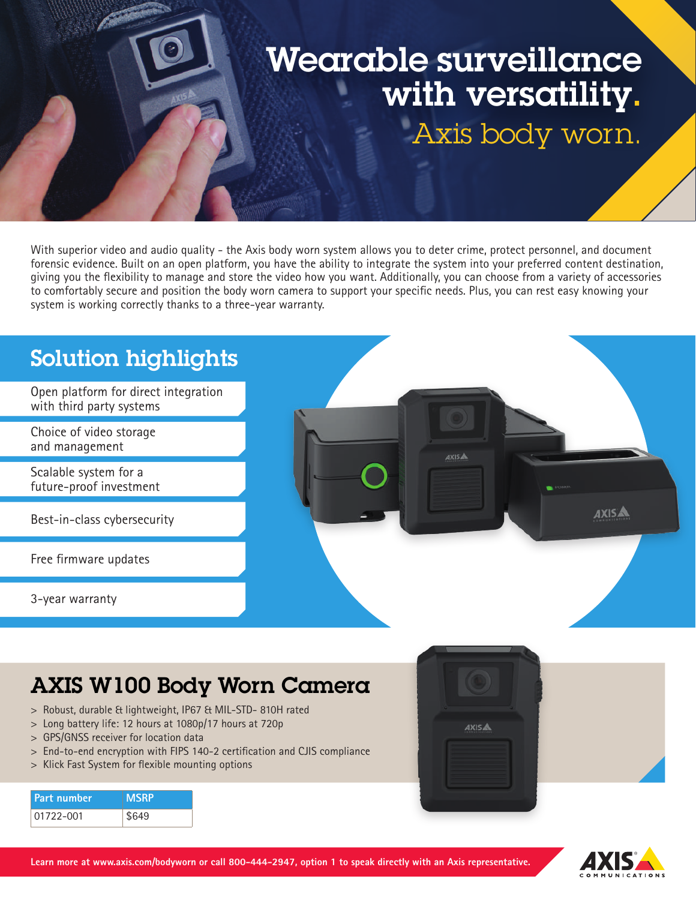# Wearable surveillance with versatility. Axis body worn.

With superior video and audio quality - the Axis body worn system allows you to deter crime, protect personnel, and document forensic evidence. Built on an open platform, you have the ability to integrate the system into your preferred content destination, giving you the flexibility to manage and store the video how you want. Additionally, you can choose from a variety of accessories to comfortably secure and position the body worn camera to support your specific needs. Plus, you can rest easy knowing your system is working correctly thanks to a three-year warranty.



## AXIS W100 Body Worn Camera

- > Robust, durable & lightweight, IP67 & MIL-STD- 810H rated
- > Long battery life: 12 hours at 1080p/17 hours at 720p
- > GPS/GNSS receiver for location data
- > End-to-end encryption with FIPS 140-2 certification and CJIS compliance
- > Klick Fast System for flexible mounting options

| <b>Part number</b> | <b>MSRP</b> |
|--------------------|-------------|
| 01722-001          | \$649       |